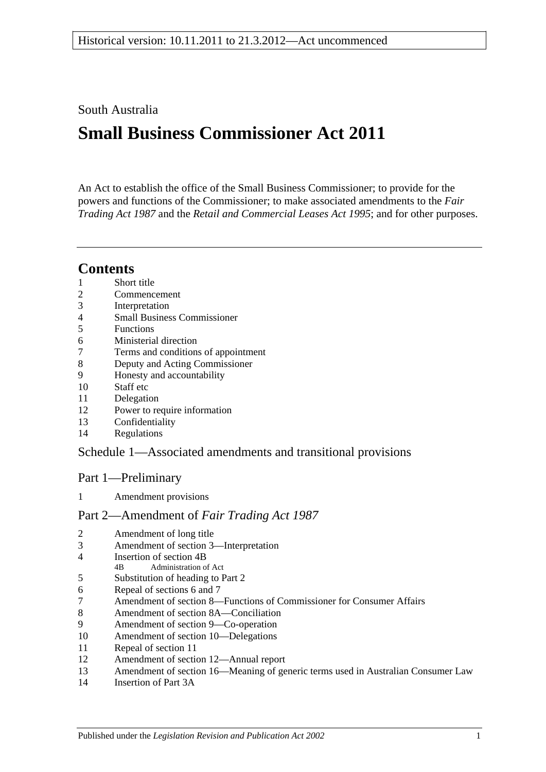## South Australia

# **Small Business Commissioner Act 2011**

An Act to establish the office of the Small Business Commissioner; to provide for the powers and functions of the Commissioner; to make associated amendments to the *[Fair](http://www.legislation.sa.gov.au/index.aspx?action=legref&type=act&legtitle=Fair%20Trading%20Act%201987)  [Trading Act](http://www.legislation.sa.gov.au/index.aspx?action=legref&type=act&legtitle=Fair%20Trading%20Act%201987) 1987* and the *[Retail and Commercial Leases Act](http://www.legislation.sa.gov.au/index.aspx?action=legref&type=act&legtitle=Retail%20and%20Commercial%20Leases%20Act%201995) 1995*; and for other purposes.

## **Contents**

- [Short title](#page-2-0)
- [Commencement](#page-2-1)
- [Interpretation](#page-2-2)
- [Small Business Commissioner](#page-2-3)
- [Functions](#page-2-4)
- [Ministerial direction](#page-3-0)
- [Terms and conditions of appointment](#page-3-1)
- [Deputy and Acting Commissioner](#page-4-0)
- [Honesty and accountability](#page-4-1)
- [Staff etc](#page-4-2)
- [Delegation](#page-5-0)
- [Power to require information](#page-5-1)
- [Confidentiality](#page-5-2)
- [Regulations](#page-6-0)

## Schedule [1—Associated amendments and transitional provisions](#page-6-1)

## Part 1—Preliminary

[Amendment provisions](#page-6-2)

#### Part 2—Amendment of *Fair Trading Act 1987*

- [Amendment of long title](#page-6-3)
- [Amendment of section](#page-6-4) 3—Interpretation
- [Insertion of section](#page-7-0) 4B<br> $\frac{4B}{A}$  Administration of
- Administration of Act
- [Substitution of heading to Part](#page-8-0) 2
- [Repeal of sections](#page-8-1) 6 and 7
- Amendment of section [8—Functions of Commissioner for Consumer Affairs](#page-8-2)
- [Amendment of section](#page-8-3) 8A—Conciliation
- [Amendment of section](#page-8-4) 9—Co-operation
- [Amendment of section](#page-8-5) 10—Delegations
- [Repeal of section](#page-8-6) 11
- [Amendment of section](#page-8-7) 12—Annual report
- Amendment of section [16—Meaning of generic terms used in Australian Consumer Law](#page-9-0)
- [Insertion of Part](#page-9-1) 3A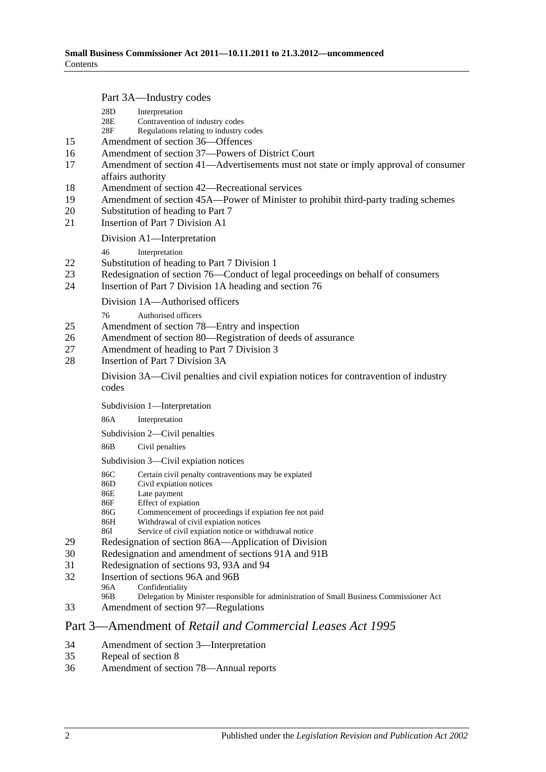Part 3A—Industry codes

|          | $1 \text{ at } 31$ $\text{Hugain}$ y codes                                                                                                |  |  |  |  |
|----------|-------------------------------------------------------------------------------------------------------------------------------------------|--|--|--|--|
|          | 28D<br>Interpretation<br>28E<br>Contravention of industry codes<br>Regulations relating to industry codes<br>28F                          |  |  |  |  |
| 15       | Amendment of section 36-Offences                                                                                                          |  |  |  |  |
| 16       | Amendment of section 37-Powers of District Court                                                                                          |  |  |  |  |
| 17       | Amendment of section 41-Advertisements must not state or imply approval of consumer<br>affairs authority                                  |  |  |  |  |
| 18       | Amendment of section 42—Recreational services                                                                                             |  |  |  |  |
| 19       | Amendment of section 45A—Power of Minister to prohibit third-party trading schemes                                                        |  |  |  |  |
| 20       | Substitution of heading to Part 7                                                                                                         |  |  |  |  |
| 21       | <b>Insertion of Part 7 Division A1</b>                                                                                                    |  |  |  |  |
|          | Division A1—Interpretation                                                                                                                |  |  |  |  |
|          | Interpretation<br>46                                                                                                                      |  |  |  |  |
| 22       | Substitution of heading to Part 7 Division 1                                                                                              |  |  |  |  |
| 23<br>24 | Redesignation of section 76—Conduct of legal proceedings on behalf of consumers<br>Insertion of Part 7 Division 1A heading and section 76 |  |  |  |  |
|          | Division 1A—Authorised officers                                                                                                           |  |  |  |  |
|          | Authorised officers<br>76                                                                                                                 |  |  |  |  |
| 25       | Amendment of section 78—Entry and inspection                                                                                              |  |  |  |  |
| 26       | Amendment of section 80—Registration of deeds of assurance                                                                                |  |  |  |  |
| 27       | Amendment of heading to Part 7 Division 3                                                                                                 |  |  |  |  |
| 28       | Insertion of Part 7 Division 3A                                                                                                           |  |  |  |  |
|          | Division 3A—Civil penalties and civil explation notices for contravention of industry<br>codes                                            |  |  |  |  |
|          | Subdivision 1-Interpretation                                                                                                              |  |  |  |  |
|          | 86A<br>Interpretation                                                                                                                     |  |  |  |  |
|          | Subdivision 2—Civil penalties                                                                                                             |  |  |  |  |
|          | 86B<br>Civil penalties                                                                                                                    |  |  |  |  |
|          | Subdivision 3-Civil expiation notices                                                                                                     |  |  |  |  |
|          | Certain civil penalty contraventions may be expiated<br>86C                                                                               |  |  |  |  |
|          | Civil expiation notices<br>86D                                                                                                            |  |  |  |  |
|          | 86E<br>Late payment                                                                                                                       |  |  |  |  |
|          | Effect of expiation<br>86F<br>Commencement of proceedings if expiation fee not paid<br>86G                                                |  |  |  |  |
|          | Withdrawal of civil expiation notices<br>86H                                                                                              |  |  |  |  |
|          | Service of civil expiation notice or withdrawal notice<br>86I                                                                             |  |  |  |  |
| 29       | Redesignation of section 86A—Application of Division                                                                                      |  |  |  |  |
| 30       | Redesignation and amendment of sections 91A and 91B                                                                                       |  |  |  |  |
| 31       | Redesignation of sections 93, 93A and 94                                                                                                  |  |  |  |  |
| 32       | Insertion of sections 96A and 96B                                                                                                         |  |  |  |  |
|          | Confidentiality<br>96A<br>96B                                                                                                             |  |  |  |  |
|          | Delegation by Minister responsible for administration of Small Business Commissioner Act                                                  |  |  |  |  |

33 [Amendment of section](#page-19-0) 97—Regulations

## Part 3—Amendment of *Retail and Commercial Leases Act 1995*

- 34 [Amendment of section](#page-20-0) 3—Interpretation<br>35 Repeal of section 8
- 35 [Repeal of section](#page-20-1) 8<br>36 Amendment of sect
- [Amendment of section](#page-20-2) 78—Annual reports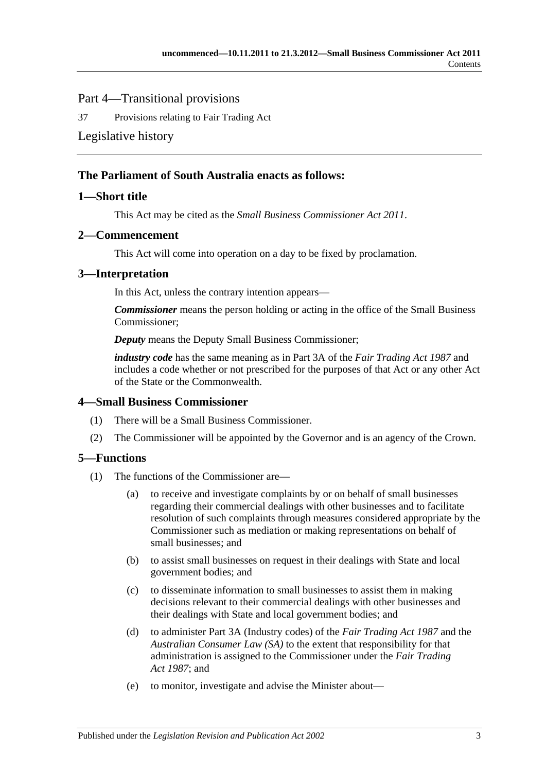## Part 4—Transitional provisions

37 [Provisions relating to Fair Trading Act](#page-20-3)

### [Legislative history](#page-21-0)

### **The Parliament of South Australia enacts as follows:**

### <span id="page-2-0"></span>**1—Short title**

This Act may be cited as the *Small Business Commissioner Act 2011*.

#### <span id="page-2-1"></span>**2—Commencement**

This Act will come into operation on a day to be fixed by proclamation.

#### <span id="page-2-2"></span>**3—Interpretation**

In this Act, unless the contrary intention appears—

*Commissioner* means the person holding or acting in the office of the Small Business Commissioner;

*Deputy* means the Deputy Small Business Commissioner;

*industry code* has the same meaning as in Part 3A of the *[Fair Trading Act](http://www.legislation.sa.gov.au/index.aspx?action=legref&type=act&legtitle=Fair%20Trading%20Act%201987) 1987* and includes a code whether or not prescribed for the purposes of that Act or any other Act of the State or the Commonwealth.

#### <span id="page-2-3"></span>**4—Small Business Commissioner**

- (1) There will be a Small Business Commissioner.
- (2) The Commissioner will be appointed by the Governor and is an agency of the Crown.

## <span id="page-2-4"></span>**5—Functions**

- (1) The functions of the Commissioner are—
	- (a) to receive and investigate complaints by or on behalf of small businesses regarding their commercial dealings with other businesses and to facilitate resolution of such complaints through measures considered appropriate by the Commissioner such as mediation or making representations on behalf of small businesses; and
	- (b) to assist small businesses on request in their dealings with State and local government bodies; and
	- (c) to disseminate information to small businesses to assist them in making decisions relevant to their commercial dealings with other businesses and their dealings with State and local government bodies; and
	- (d) to administer Part 3A (Industry codes) of the *[Fair Trading Act](http://www.legislation.sa.gov.au/index.aspx?action=legref&type=act&legtitle=Fair%20Trading%20Act%201987) 1987* and the *Australian Consumer Law (SA)* to the extent that responsibility for that administration is assigned to the Commissioner under the *[Fair Trading](http://www.legislation.sa.gov.au/index.aspx?action=legref&type=act&legtitle=Fair%20Trading%20Act%201987)  Act [1987](http://www.legislation.sa.gov.au/index.aspx?action=legref&type=act&legtitle=Fair%20Trading%20Act%201987)*; and
	- (e) to monitor, investigate and advise the Minister about—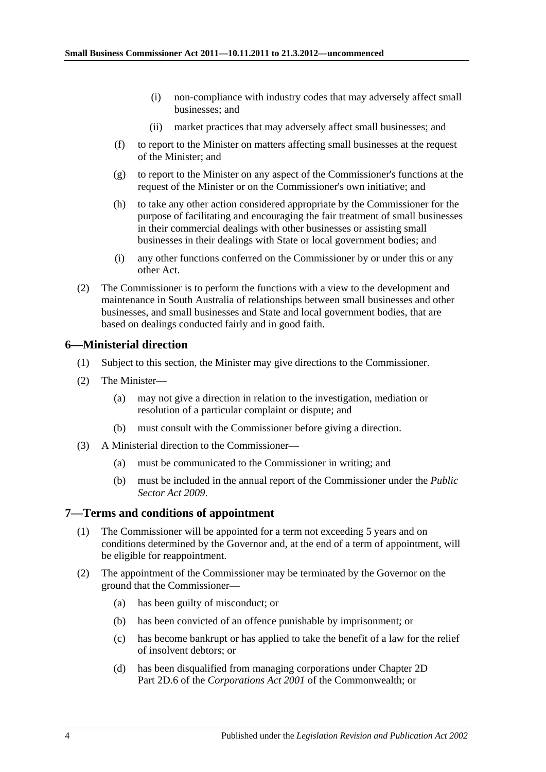- (i) non-compliance with industry codes that may adversely affect small businesses; and
- (ii) market practices that may adversely affect small businesses; and
- (f) to report to the Minister on matters affecting small businesses at the request of the Minister; and
- (g) to report to the Minister on any aspect of the Commissioner's functions at the request of the Minister or on the Commissioner's own initiative; and
- (h) to take any other action considered appropriate by the Commissioner for the purpose of facilitating and encouraging the fair treatment of small businesses in their commercial dealings with other businesses or assisting small businesses in their dealings with State or local government bodies; and
- (i) any other functions conferred on the Commissioner by or under this or any other Act.
- (2) The Commissioner is to perform the functions with a view to the development and maintenance in South Australia of relationships between small businesses and other businesses, and small businesses and State and local government bodies, that are based on dealings conducted fairly and in good faith.

#### <span id="page-3-0"></span>**6—Ministerial direction**

- (1) Subject to this section, the Minister may give directions to the Commissioner.
- (2) The Minister—
	- (a) may not give a direction in relation to the investigation, mediation or resolution of a particular complaint or dispute; and
	- (b) must consult with the Commissioner before giving a direction.
- (3) A Ministerial direction to the Commissioner—
	- (a) must be communicated to the Commissioner in writing; and
	- (b) must be included in the annual report of the Commissioner under the *[Public](http://www.legislation.sa.gov.au/index.aspx?action=legref&type=act&legtitle=Public%20Sector%20Act%202009)  [Sector Act](http://www.legislation.sa.gov.au/index.aspx?action=legref&type=act&legtitle=Public%20Sector%20Act%202009) 2009*.

#### <span id="page-3-1"></span>**7—Terms and conditions of appointment**

- (1) The Commissioner will be appointed for a term not exceeding 5 years and on conditions determined by the Governor and, at the end of a term of appointment, will be eligible for reappointment.
- (2) The appointment of the Commissioner may be terminated by the Governor on the ground that the Commissioner—
	- (a) has been guilty of misconduct; or
	- (b) has been convicted of an offence punishable by imprisonment; or
	- (c) has become bankrupt or has applied to take the benefit of a law for the relief of insolvent debtors; or
	- (d) has been disqualified from managing corporations under Chapter 2D Part 2D.6 of the *Corporations Act 2001* of the Commonwealth; or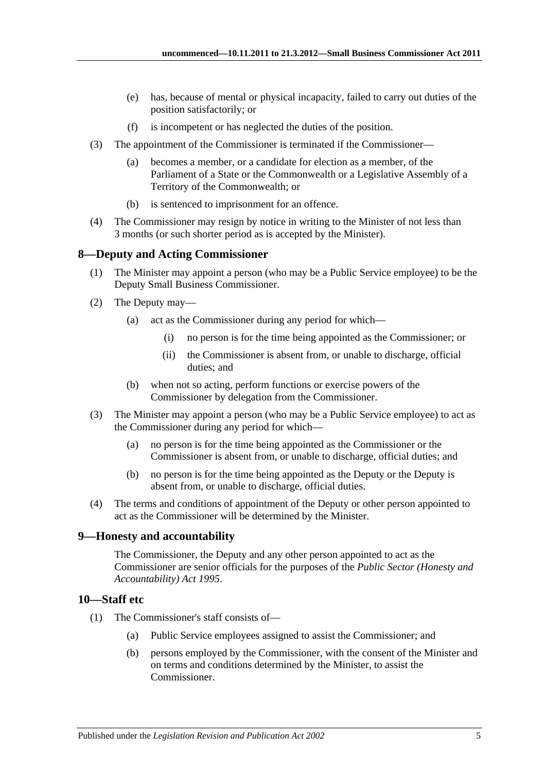- (e) has, because of mental or physical incapacity, failed to carry out duties of the position satisfactorily; or
- (f) is incompetent or has neglected the duties of the position.
- (3) The appointment of the Commissioner is terminated if the Commissioner—
	- (a) becomes a member, or a candidate for election as a member, of the Parliament of a State or the Commonwealth or a Legislative Assembly of a Territory of the Commonwealth; or
	- (b) is sentenced to imprisonment for an offence.
- (4) The Commissioner may resign by notice in writing to the Minister of not less than 3 months (or such shorter period as is accepted by the Minister).

#### <span id="page-4-0"></span>**8—Deputy and Acting Commissioner**

- (1) The Minister may appoint a person (who may be a Public Service employee) to be the Deputy Small Business Commissioner.
- (2) The Deputy may—
	- (a) act as the Commissioner during any period for which—
		- (i) no person is for the time being appointed as the Commissioner; or
		- (ii) the Commissioner is absent from, or unable to discharge, official duties; and
	- (b) when not so acting, perform functions or exercise powers of the Commissioner by delegation from the Commissioner.
- (3) The Minister may appoint a person (who may be a Public Service employee) to act as the Commissioner during any period for which—
	- (a) no person is for the time being appointed as the Commissioner or the Commissioner is absent from, or unable to discharge, official duties; and
	- (b) no person is for the time being appointed as the Deputy or the Deputy is absent from, or unable to discharge, official duties.
- (4) The terms and conditions of appointment of the Deputy or other person appointed to act as the Commissioner will be determined by the Minister.

#### <span id="page-4-1"></span>**9—Honesty and accountability**

The Commissioner, the Deputy and any other person appointed to act as the Commissioner are senior officials for the purposes of the *[Public Sector \(Honesty and](http://www.legislation.sa.gov.au/index.aspx?action=legref&type=act&legtitle=Public%20Sector%20(Honesty%20and%20Accountability)%20Act%201995)  [Accountability\) Act](http://www.legislation.sa.gov.au/index.aspx?action=legref&type=act&legtitle=Public%20Sector%20(Honesty%20and%20Accountability)%20Act%201995) 1995*.

### <span id="page-4-2"></span>**10—Staff etc**

- (1) The Commissioner's staff consists of—
	- (a) Public Service employees assigned to assist the Commissioner; and
	- (b) persons employed by the Commissioner, with the consent of the Minister and on terms and conditions determined by the Minister, to assist the Commissioner.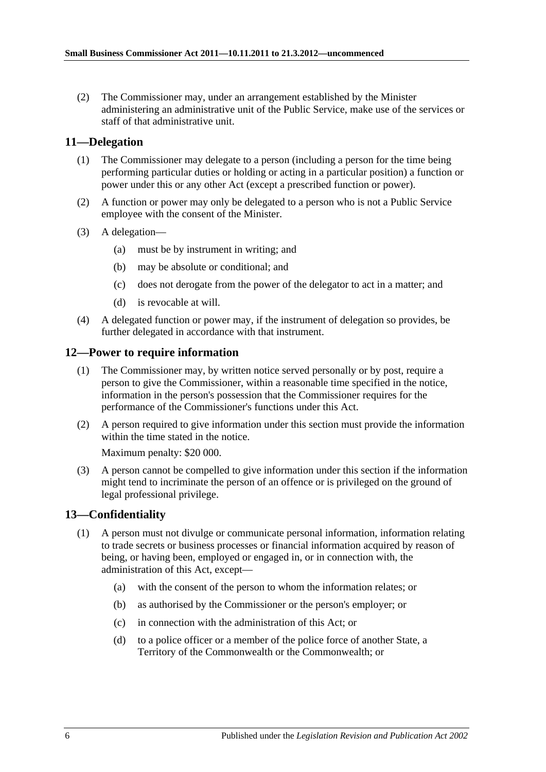(2) The Commissioner may, under an arrangement established by the Minister administering an administrative unit of the Public Service, make use of the services or staff of that administrative unit.

### <span id="page-5-0"></span>**11—Delegation**

- (1) The Commissioner may delegate to a person (including a person for the time being performing particular duties or holding or acting in a particular position) a function or power under this or any other Act (except a prescribed function or power).
- (2) A function or power may only be delegated to a person who is not a Public Service employee with the consent of the Minister.
- (3) A delegation—
	- (a) must be by instrument in writing; and
	- (b) may be absolute or conditional; and
	- (c) does not derogate from the power of the delegator to act in a matter; and
	- (d) is revocable at will.
- (4) A delegated function or power may, if the instrument of delegation so provides, be further delegated in accordance with that instrument.

#### <span id="page-5-1"></span>**12—Power to require information**

- (1) The Commissioner may, by written notice served personally or by post, require a person to give the Commissioner, within a reasonable time specified in the notice, information in the person's possession that the Commissioner requires for the performance of the Commissioner's functions under this Act.
- (2) A person required to give information under this section must provide the information within the time stated in the notice.

Maximum penalty: \$20 000.

(3) A person cannot be compelled to give information under this section if the information might tend to incriminate the person of an offence or is privileged on the ground of legal professional privilege.

#### <span id="page-5-2"></span>**13—Confidentiality**

- (1) A person must not divulge or communicate personal information, information relating to trade secrets or business processes or financial information acquired by reason of being, or having been, employed or engaged in, or in connection with, the administration of this Act, except—
	- (a) with the consent of the person to whom the information relates; or
	- (b) as authorised by the Commissioner or the person's employer; or
	- (c) in connection with the administration of this Act; or
	- (d) to a police officer or a member of the police force of another State, a Territory of the Commonwealth or the Commonwealth; or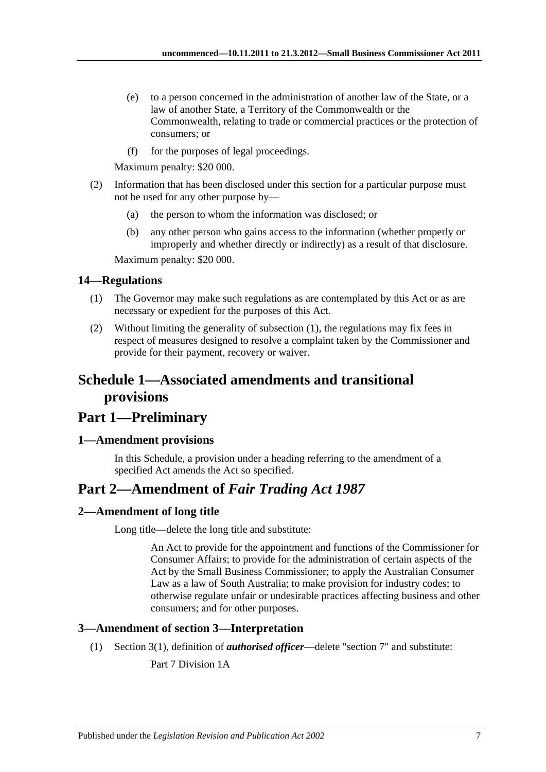- (e) to a person concerned in the administration of another law of the State, or a law of another State, a Territory of the Commonwealth or the Commonwealth, relating to trade or commercial practices or the protection of consumers; or
- (f) for the purposes of legal proceedings.

Maximum penalty: \$20 000.

- (2) Information that has been disclosed under this section for a particular purpose must not be used for any other purpose by—
	- (a) the person to whom the information was disclosed; or
	- (b) any other person who gains access to the information (whether properly or improperly and whether directly or indirectly) as a result of that disclosure.

Maximum penalty: \$20 000.

#### <span id="page-6-5"></span><span id="page-6-0"></span>**14—Regulations**

- (1) The Governor may make such regulations as are contemplated by this Act or as are necessary or expedient for the purposes of this Act.
- (2) Without limiting the generality of [subsection](#page-6-5) (1), the regulations may fix fees in respect of measures designed to resolve a complaint taken by the Commissioner and provide for their payment, recovery or waiver.

## <span id="page-6-1"></span>**Schedule 1—Associated amendments and transitional provisions**

## **Part 1—Preliminary**

#### <span id="page-6-2"></span>**1—Amendment provisions**

In this Schedule, a provision under a heading referring to the amendment of a specified Act amends the Act so specified.

## **Part 2—Amendment of** *Fair Trading Act 1987*

#### <span id="page-6-3"></span>**2—Amendment of long title**

Long title—delete the long title and substitute:

An Act to provide for the appointment and functions of the Commissioner for Consumer Affairs; to provide for the administration of certain aspects of the Act by the Small Business Commissioner; to apply the Australian Consumer Law as a law of South Australia; to make provision for industry codes; to otherwise regulate unfair or undesirable practices affecting business and other consumers; and for other purposes.

#### <span id="page-6-4"></span>**3—Amendment of section 3—Interpretation**

(1) Section 3(1), definition of *authorised officer*—delete "section 7" and substitute:

Part 7 Division 1A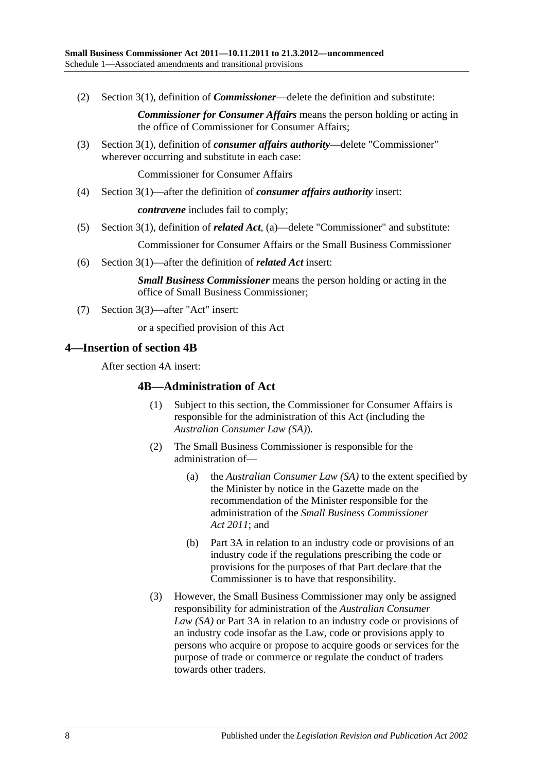(2) Section 3(1), definition of *Commissioner*—delete the definition and substitute:

*Commissioner for Consumer Affairs* means the person holding or acting in the office of Commissioner for Consumer Affairs;

(3) Section 3(1), definition of *consumer affairs authority*—delete "Commissioner" wherever occurring and substitute in each case:

Commissioner for Consumer Affairs

(4) Section 3(1)—after the definition of *consumer affairs authority* insert:

*contravene* includes fail to comply;

(5) Section 3(1), definition of *related Act*, (a)—delete "Commissioner" and substitute:

Commissioner for Consumer Affairs or the Small Business Commissioner

(6) Section 3(1)—after the definition of *related Act* insert:

*Small Business Commissioner* means the person holding or acting in the office of Small Business Commissioner;

(7) Section 3(3)—after "Act" insert:

or a specified provision of this Act

#### <span id="page-7-0"></span>**4—Insertion of section 4B**

After section 4A insert:

#### **4B—Administration of Act**

- (1) Subject to this section, the Commissioner for Consumer Affairs is responsible for the administration of this Act (including the *Australian Consumer Law (SA)*).
- (2) The Small Business Commissioner is responsible for the administration of—
	- (a) the *Australian Consumer Law (SA)* to the extent specified by the Minister by notice in the Gazette made on the recommendation of the Minister responsible for the administration of the *[Small Business Commissioner](http://www.legislation.sa.gov.au/index.aspx?action=legref&type=act&legtitle=Small%20Business%20Commissioner%20Act%202011)  Act [2011](http://www.legislation.sa.gov.au/index.aspx?action=legref&type=act&legtitle=Small%20Business%20Commissioner%20Act%202011)*; and
	- (b) Part 3A in relation to an industry code or provisions of an industry code if the regulations prescribing the code or provisions for the purposes of that Part declare that the Commissioner is to have that responsibility.
- (3) However, the Small Business Commissioner may only be assigned responsibility for administration of the *Australian Consumer Law (SA)* or Part 3A in relation to an industry code or provisions of an industry code insofar as the Law, code or provisions apply to persons who acquire or propose to acquire goods or services for the purpose of trade or commerce or regulate the conduct of traders towards other traders.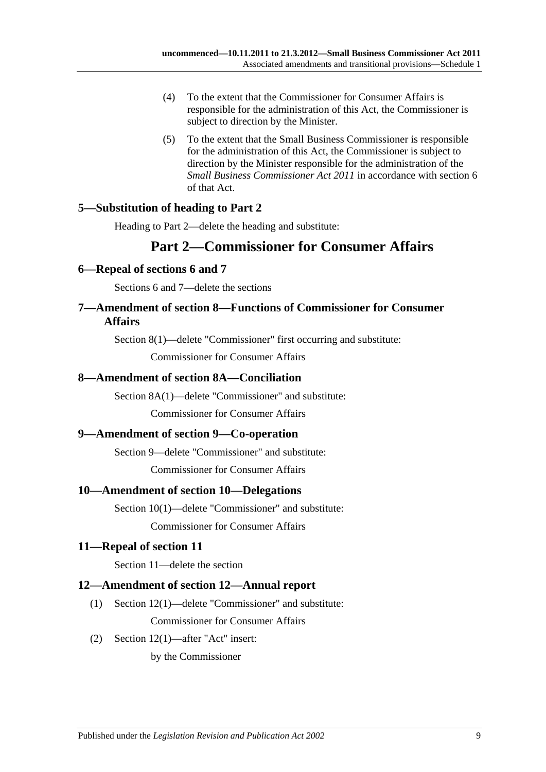- (4) To the extent that the Commissioner for Consumer Affairs is responsible for the administration of this Act, the Commissioner is subject to direction by the Minister.
- (5) To the extent that the Small Business Commissioner is responsible for the administration of this Act, the Commissioner is subject to direction by the Minister responsible for the administration of the *[Small Business Commissioner](http://www.legislation.sa.gov.au/index.aspx?action=legref&type=act&legtitle=Small%20Business%20Commissioner%20Act%202011) Act 2011* in accordance with section 6 of that Act.

## <span id="page-8-0"></span>**5—Substitution of heading to Part 2**

Heading to Part 2—delete the heading and substitute:

## **Part 2—Commissioner for Consumer Affairs**

#### <span id="page-8-1"></span>**6—Repeal of sections 6 and 7**

Sections 6 and 7—delete the sections

## <span id="page-8-2"></span>**7—Amendment of section 8—Functions of Commissioner for Consumer Affairs**

Section 8(1)—delete "Commissioner" first occurring and substitute:

Commissioner for Consumer Affairs

### <span id="page-8-3"></span>**8—Amendment of section 8A—Conciliation**

Section 8A(1)—delete "Commissioner" and substitute:

Commissioner for Consumer Affairs

#### <span id="page-8-4"></span>**9—Amendment of section 9—Co-operation**

Section 9—delete "Commissioner" and substitute:

Commissioner for Consumer Affairs

#### <span id="page-8-5"></span>**10—Amendment of section 10—Delegations**

Section 10(1)—delete "Commissioner" and substitute: Commissioner for Consumer Affairs

#### <span id="page-8-6"></span>**11—Repeal of section 11**

Section 11—delete the section

#### <span id="page-8-7"></span>**12—Amendment of section 12—Annual report**

- (1) Section 12(1)—delete "Commissioner" and substitute: Commissioner for Consumer Affairs
- (2) Section 12(1)—after "Act" insert:

by the Commissioner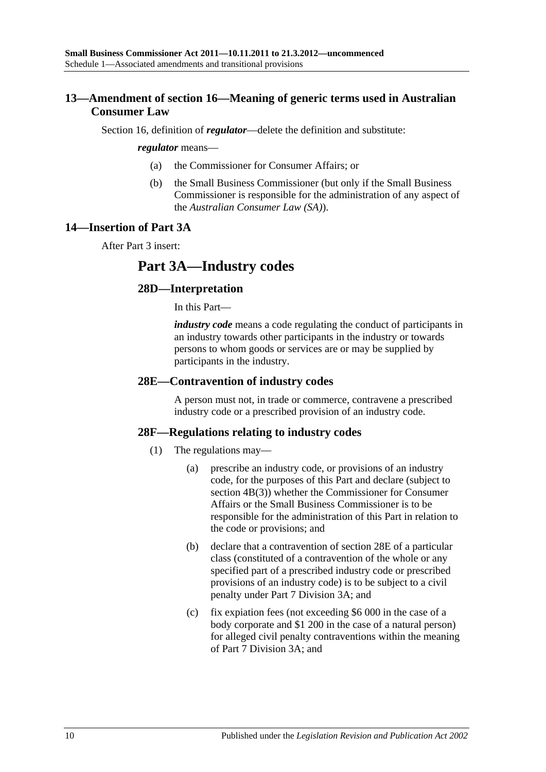## <span id="page-9-0"></span>**13—Amendment of section 16—Meaning of generic terms used in Australian Consumer Law**

Section 16, definition of *regulator*—delete the definition and substitute:

#### *regulator* means—

- (a) the Commissioner for Consumer Affairs; or
- (b) the Small Business Commissioner (but only if the Small Business Commissioner is responsible for the administration of any aspect of the *Australian Consumer Law (SA)*).

#### <span id="page-9-1"></span>**14—Insertion of Part 3A**

After Part 3 insert:

## **Part 3A—Industry codes**

#### **28D—Interpretation**

In this Part—

*industry code* means a code regulating the conduct of participants in an industry towards other participants in the industry or towards persons to whom goods or services are or may be supplied by participants in the industry.

#### **28E—Contravention of industry codes**

A person must not, in trade or commerce, contravene a prescribed industry code or a prescribed provision of an industry code.

#### **28F—Regulations relating to industry codes**

- (1) The regulations may—
	- (a) prescribe an industry code, or provisions of an industry code, for the purposes of this Part and declare (subject to section 4B(3)) whether the Commissioner for Consumer Affairs or the Small Business Commissioner is to be responsible for the administration of this Part in relation to the code or provisions; and
	- (b) declare that a contravention of section 28E of a particular class (constituted of a contravention of the whole or any specified part of a prescribed industry code or prescribed provisions of an industry code) is to be subject to a civil penalty under Part 7 Division 3A; and
	- (c) fix expiation fees (not exceeding \$6 000 in the case of a body corporate and \$1 200 in the case of a natural person) for alleged civil penalty contraventions within the meaning of Part 7 Division 3A; and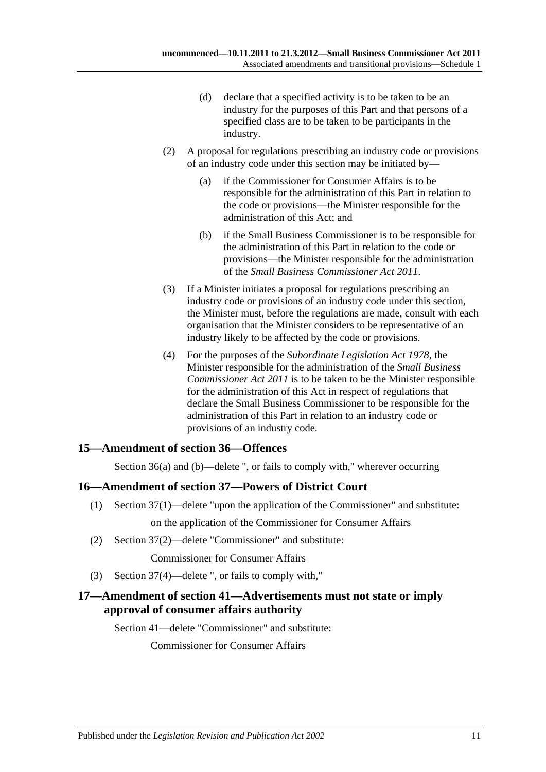- (d) declare that a specified activity is to be taken to be an industry for the purposes of this Part and that persons of a specified class are to be taken to be participants in the industry.
- (2) A proposal for regulations prescribing an industry code or provisions of an industry code under this section may be initiated by—
	- (a) if the Commissioner for Consumer Affairs is to be responsible for the administration of this Part in relation to the code or provisions—the Minister responsible for the administration of this Act; and
	- (b) if the Small Business Commissioner is to be responsible for the administration of this Part in relation to the code or provisions—the Minister responsible for the administration of the *[Small Business Commissioner Act](http://www.legislation.sa.gov.au/index.aspx?action=legref&type=act&legtitle=Small%20Business%20Commissioner%20Act%202011) 2011*.
- (3) If a Minister initiates a proposal for regulations prescribing an industry code or provisions of an industry code under this section, the Minister must, before the regulations are made, consult with each organisation that the Minister considers to be representative of an industry likely to be affected by the code or provisions.
- (4) For the purposes of the *[Subordinate Legislation Act](http://www.legislation.sa.gov.au/index.aspx?action=legref&type=act&legtitle=Subordinate%20Legislation%20Act%201978) 1978*, the Minister responsible for the administration of the *[Small Business](http://www.legislation.sa.gov.au/index.aspx?action=legref&type=act&legtitle=Small%20Business%20Commissioner%20Act%202011)  [Commissioner Act](http://www.legislation.sa.gov.au/index.aspx?action=legref&type=act&legtitle=Small%20Business%20Commissioner%20Act%202011) 2011* is to be taken to be the Minister responsible for the administration of this Act in respect of regulations that declare the Small Business Commissioner to be responsible for the administration of this Part in relation to an industry code or provisions of an industry code.

#### <span id="page-10-0"></span>**15—Amendment of section 36—Offences**

Section 36(a) and (b)—delete ", or fails to comply with," wherever occurring

#### <span id="page-10-1"></span>**16—Amendment of section 37—Powers of District Court**

- (1) Section 37(1)—delete "upon the application of the Commissioner" and substitute: on the application of the Commissioner for Consumer Affairs
- (2) Section 37(2)—delete "Commissioner" and substitute:

Commissioner for Consumer Affairs

(3) Section 37(4)—delete ", or fails to comply with,"

### <span id="page-10-2"></span>**17—Amendment of section 41—Advertisements must not state or imply approval of consumer affairs authority**

Section 41—delete "Commissioner" and substitute:

Commissioner for Consumer Affairs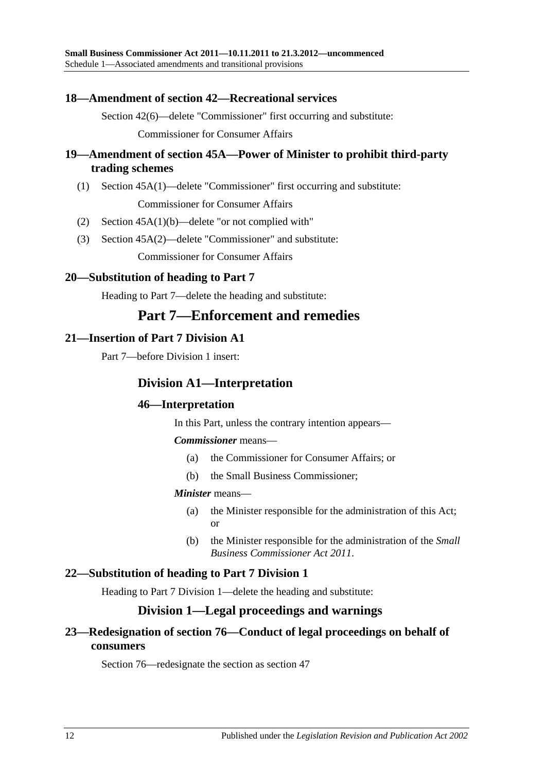#### <span id="page-11-0"></span>**18—Amendment of section 42—Recreational services**

Section 42(6)—delete "Commissioner" first occurring and substitute:

Commissioner for Consumer Affairs

### <span id="page-11-1"></span>**19—Amendment of section 45A—Power of Minister to prohibit third-party trading schemes**

(1) Section 45A(1)—delete "Commissioner" first occurring and substitute:

Commissioner for Consumer Affairs

- (2) Section 45A(1)(b)—delete "or not complied with"
- (3) Section 45A(2)—delete "Commissioner" and substitute:

Commissioner for Consumer Affairs

### <span id="page-11-2"></span>**20—Substitution of heading to Part 7**

Heading to Part 7—delete the heading and substitute:

## **Part 7—Enforcement and remedies**

### <span id="page-11-3"></span>**21—Insertion of Part 7 Division A1**

Part 7—before Division 1 insert:

## **Division A1—Interpretation**

#### **46—Interpretation**

In this Part, unless the contrary intention appears—

*Commissioner* means—

- (a) the Commissioner for Consumer Affairs; or
- (b) the Small Business Commissioner;

#### *Minister* means—

- (a) the Minister responsible for the administration of this Act; or
- (b) the Minister responsible for the administration of the *[Small](http://www.legislation.sa.gov.au/index.aspx?action=legref&type=act&legtitle=Small%20Business%20Commissioner%20Act%202011)  [Business Commissioner Act](http://www.legislation.sa.gov.au/index.aspx?action=legref&type=act&legtitle=Small%20Business%20Commissioner%20Act%202011) 2011*.

#### <span id="page-11-4"></span>**22—Substitution of heading to Part 7 Division 1**

Heading to Part 7 Division 1—delete the heading and substitute:

## **Division 1—Legal proceedings and warnings**

## <span id="page-11-5"></span>**23—Redesignation of section 76—Conduct of legal proceedings on behalf of consumers**

Section 76—redesignate the section as section 47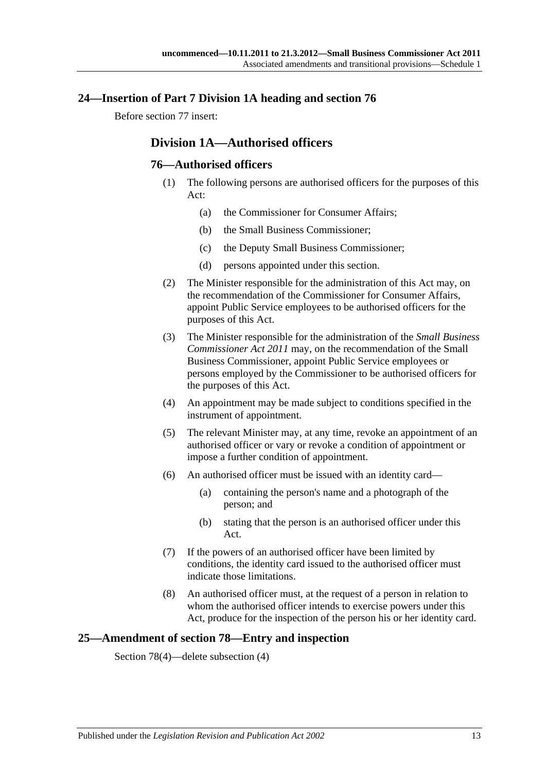#### <span id="page-12-0"></span>**24—Insertion of Part 7 Division 1A heading and section 76**

Before section 77 insert:

## **Division 1A—Authorised officers**

#### **76—Authorised officers**

- (1) The following persons are authorised officers for the purposes of this Act:
	- (a) the Commissioner for Consumer Affairs;
	- (b) the Small Business Commissioner;
	- (c) the Deputy Small Business Commissioner;
	- (d) persons appointed under this section.
- (2) The Minister responsible for the administration of this Act may, on the recommendation of the Commissioner for Consumer Affairs, appoint Public Service employees to be authorised officers for the purposes of this Act.
- (3) The Minister responsible for the administration of the *[Small Business](http://www.legislation.sa.gov.au/index.aspx?action=legref&type=act&legtitle=Small%20Business%20Commissioner%20Act%202011)  [Commissioner Act](http://www.legislation.sa.gov.au/index.aspx?action=legref&type=act&legtitle=Small%20Business%20Commissioner%20Act%202011) 2011* may, on the recommendation of the Small Business Commissioner, appoint Public Service employees or persons employed by the Commissioner to be authorised officers for the purposes of this Act.
- (4) An appointment may be made subject to conditions specified in the instrument of appointment.
- (5) The relevant Minister may, at any time, revoke an appointment of an authorised officer or vary or revoke a condition of appointment or impose a further condition of appointment.
- (6) An authorised officer must be issued with an identity card—
	- (a) containing the person's name and a photograph of the person; and
	- (b) stating that the person is an authorised officer under this Act.
- (7) If the powers of an authorised officer have been limited by conditions, the identity card issued to the authorised officer must indicate those limitations.
- (8) An authorised officer must, at the request of a person in relation to whom the authorised officer intends to exercise powers under this Act, produce for the inspection of the person his or her identity card.

#### <span id="page-12-1"></span>**25—Amendment of section 78—Entry and inspection**

Section 78(4)—delete subsection (4)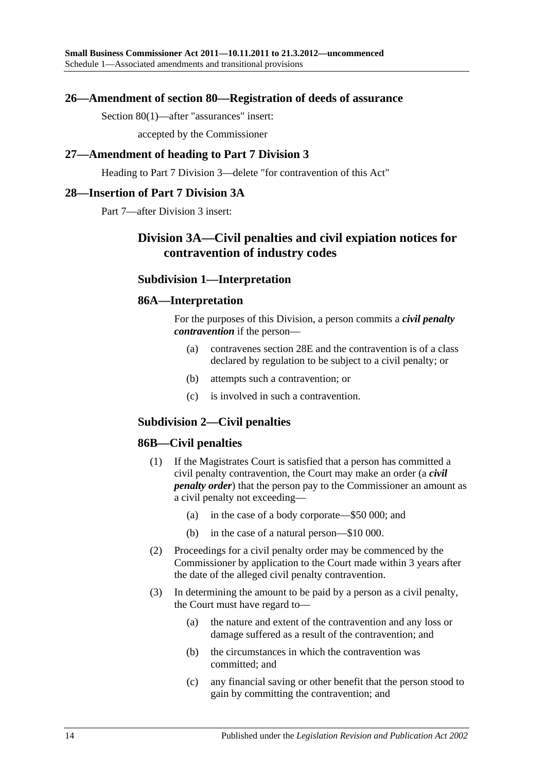#### <span id="page-13-0"></span>**26—Amendment of section 80—Registration of deeds of assurance**

Section 80(1)—after "assurances" insert:

accepted by the Commissioner

#### <span id="page-13-1"></span>**27—Amendment of heading to Part 7 Division 3**

Heading to Part 7 Division 3—delete "for contravention of this Act"

#### <span id="page-13-2"></span>**28—Insertion of Part 7 Division 3A**

Part 7—after Division 3 insert:

## **Division 3A—Civil penalties and civil expiation notices for contravention of industry codes**

### **Subdivision 1—Interpretation**

#### **86A—Interpretation**

For the purposes of this Division, a person commits a *civil penalty contravention* if the person—

- (a) contravenes section 28E and the contravention is of a class declared by regulation to be subject to a civil penalty; or
- (b) attempts such a contravention; or
- (c) is involved in such a contravention.

#### **Subdivision 2—Civil penalties**

#### **86B—Civil penalties**

- (1) If the Magistrates Court is satisfied that a person has committed a civil penalty contravention, the Court may make an order (a *civil penalty order*) that the person pay to the Commissioner an amount as a civil penalty not exceeding—
	- (a) in the case of a body corporate—\$50 000; and
	- (b) in the case of a natural person—\$10 000.
- (2) Proceedings for a civil penalty order may be commenced by the Commissioner by application to the Court made within 3 years after the date of the alleged civil penalty contravention.
- (3) In determining the amount to be paid by a person as a civil penalty, the Court must have regard to—
	- (a) the nature and extent of the contravention and any loss or damage suffered as a result of the contravention; and
	- (b) the circumstances in which the contravention was committed; and
	- (c) any financial saving or other benefit that the person stood to gain by committing the contravention; and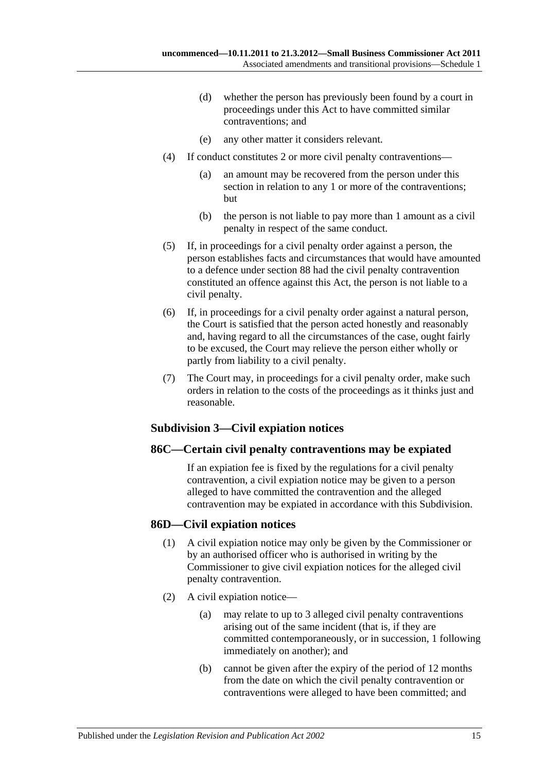- (d) whether the person has previously been found by a court in proceedings under this Act to have committed similar contraventions; and
- (e) any other matter it considers relevant.
- (4) If conduct constitutes 2 or more civil penalty contraventions—
	- (a) an amount may be recovered from the person under this section in relation to any 1 or more of the contraventions; but
	- (b) the person is not liable to pay more than 1 amount as a civil penalty in respect of the same conduct.
- (5) If, in proceedings for a civil penalty order against a person, the person establishes facts and circumstances that would have amounted to a defence under section 88 had the civil penalty contravention constituted an offence against this Act, the person is not liable to a civil penalty.
- (6) If, in proceedings for a civil penalty order against a natural person, the Court is satisfied that the person acted honestly and reasonably and, having regard to all the circumstances of the case, ought fairly to be excused, the Court may relieve the person either wholly or partly from liability to a civil penalty.
- (7) The Court may, in proceedings for a civil penalty order, make such orders in relation to the costs of the proceedings as it thinks just and reasonable.

#### **Subdivision 3—Civil expiation notices**

#### **86C—Certain civil penalty contraventions may be expiated**

If an expiation fee is fixed by the regulations for a civil penalty contravention, a civil expiation notice may be given to a person alleged to have committed the contravention and the alleged contravention may be expiated in accordance with this Subdivision.

#### **86D—Civil expiation notices**

- (1) A civil expiation notice may only be given by the Commissioner or by an authorised officer who is authorised in writing by the Commissioner to give civil expiation notices for the alleged civil penalty contravention.
- (2) A civil expiation notice—
	- (a) may relate to up to 3 alleged civil penalty contraventions arising out of the same incident (that is, if they are committed contemporaneously, or in succession, 1 following immediately on another); and
	- (b) cannot be given after the expiry of the period of 12 months from the date on which the civil penalty contravention or contraventions were alleged to have been committed; and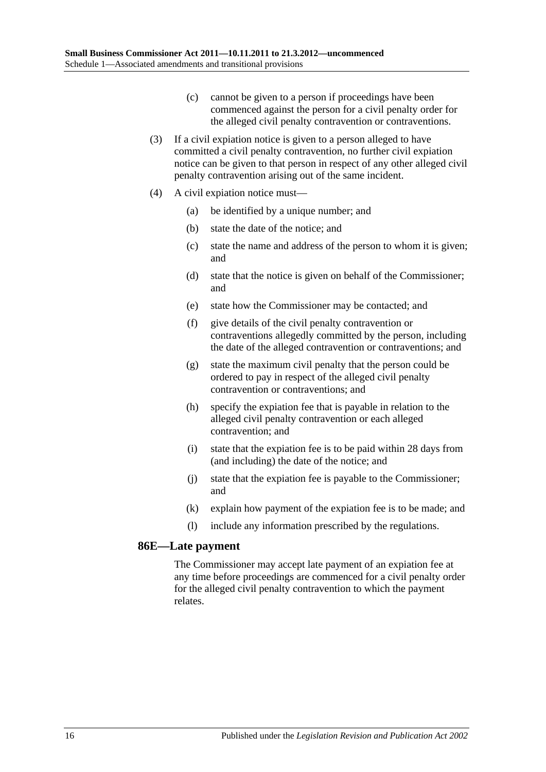- (c) cannot be given to a person if proceedings have been commenced against the person for a civil penalty order for the alleged civil penalty contravention or contraventions.
- (3) If a civil expiation notice is given to a person alleged to have committed a civil penalty contravention, no further civil expiation notice can be given to that person in respect of any other alleged civil penalty contravention arising out of the same incident.
- (4) A civil expiation notice must—
	- (a) be identified by a unique number; and
	- (b) state the date of the notice; and
	- (c) state the name and address of the person to whom it is given; and
	- (d) state that the notice is given on behalf of the Commissioner; and
	- (e) state how the Commissioner may be contacted; and
	- (f) give details of the civil penalty contravention or contraventions allegedly committed by the person, including the date of the alleged contravention or contraventions; and
	- (g) state the maximum civil penalty that the person could be ordered to pay in respect of the alleged civil penalty contravention or contraventions; and
	- (h) specify the expiation fee that is payable in relation to the alleged civil penalty contravention or each alleged contravention; and
	- (i) state that the expiation fee is to be paid within 28 days from (and including) the date of the notice; and
	- (j) state that the expiation fee is payable to the Commissioner; and
	- (k) explain how payment of the expiation fee is to be made; and
	- (l) include any information prescribed by the regulations.

#### **86E—Late payment**

The Commissioner may accept late payment of an expiation fee at any time before proceedings are commenced for a civil penalty order for the alleged civil penalty contravention to which the payment relates.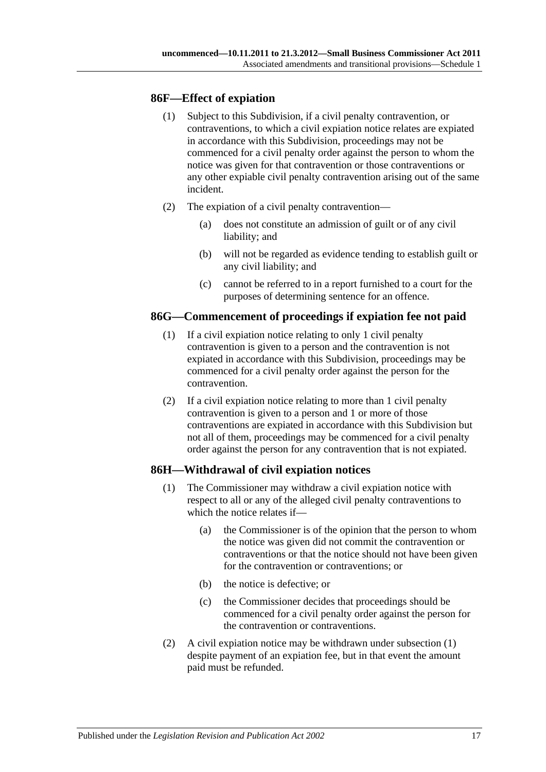#### **86F—Effect of expiation**

- (1) Subject to this Subdivision, if a civil penalty contravention, or contraventions, to which a civil expiation notice relates are expiated in accordance with this Subdivision, proceedings may not be commenced for a civil penalty order against the person to whom the notice was given for that contravention or those contraventions or any other expiable civil penalty contravention arising out of the same incident.
- (2) The expiation of a civil penalty contravention—
	- (a) does not constitute an admission of guilt or of any civil liability; and
	- (b) will not be regarded as evidence tending to establish guilt or any civil liability; and
	- (c) cannot be referred to in a report furnished to a court for the purposes of determining sentence for an offence.

#### **86G—Commencement of proceedings if expiation fee not paid**

- (1) If a civil expiation notice relating to only 1 civil penalty contravention is given to a person and the contravention is not expiated in accordance with this Subdivision, proceedings may be commenced for a civil penalty order against the person for the contravention.
- (2) If a civil expiation notice relating to more than 1 civil penalty contravention is given to a person and 1 or more of those contraventions are expiated in accordance with this Subdivision but not all of them, proceedings may be commenced for a civil penalty order against the person for any contravention that is not expiated.

#### <span id="page-16-0"></span>**86H—Withdrawal of civil expiation notices**

- (1) The Commissioner may withdraw a civil expiation notice with respect to all or any of the alleged civil penalty contraventions to which the notice relates if—
	- (a) the Commissioner is of the opinion that the person to whom the notice was given did not commit the contravention or contraventions or that the notice should not have been given for the contravention or contraventions; or
	- (b) the notice is defective; or
	- (c) the Commissioner decides that proceedings should be commenced for a civil penalty order against the person for the contravention or contraventions.
- (2) A civil expiation notice may be withdrawn under [subsection](#page-16-0) (1) despite payment of an expiation fee, but in that event the amount paid must be refunded.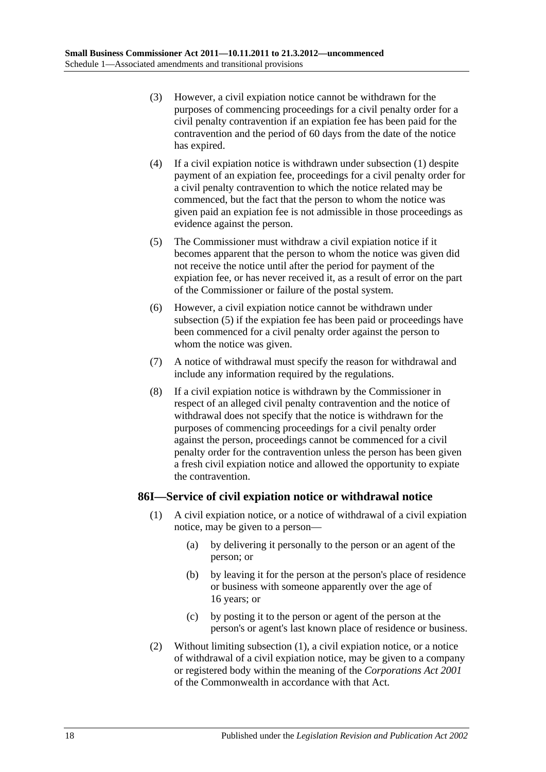- (3) However, a civil expiation notice cannot be withdrawn for the purposes of commencing proceedings for a civil penalty order for a civil penalty contravention if an expiation fee has been paid for the contravention and the period of 60 days from the date of the notice has expired.
- (4) If a civil expiation notice is withdrawn under [subsection](#page-16-0) (1) despite payment of an expiation fee, proceedings for a civil penalty order for a civil penalty contravention to which the notice related may be commenced, but the fact that the person to whom the notice was given paid an expiation fee is not admissible in those proceedings as evidence against the person.
- <span id="page-17-0"></span>(5) The Commissioner must withdraw a civil expiation notice if it becomes apparent that the person to whom the notice was given did not receive the notice until after the period for payment of the expiation fee, or has never received it, as a result of error on the part of the Commissioner or failure of the postal system.
- (6) However, a civil expiation notice cannot be withdrawn under [subsection](#page-17-0) (5) if the expiation fee has been paid or proceedings have been commenced for a civil penalty order against the person to whom the notice was given.
- (7) A notice of withdrawal must specify the reason for withdrawal and include any information required by the regulations.
- (8) If a civil expiation notice is withdrawn by the Commissioner in respect of an alleged civil penalty contravention and the notice of withdrawal does not specify that the notice is withdrawn for the purposes of commencing proceedings for a civil penalty order against the person, proceedings cannot be commenced for a civil penalty order for the contravention unless the person has been given a fresh civil expiation notice and allowed the opportunity to expiate the contravention.

#### <span id="page-17-1"></span>**86I—Service of civil expiation notice or withdrawal notice**

- (1) A civil expiation notice, or a notice of withdrawal of a civil expiation notice, may be given to a person—
	- (a) by delivering it personally to the person or an agent of the person; or
	- (b) by leaving it for the person at the person's place of residence or business with someone apparently over the age of 16 years; or
	- (c) by posting it to the person or agent of the person at the person's or agent's last known place of residence or business.
- (2) Without limiting [subsection](#page-17-1) (1), a civil expiation notice, or a notice of withdrawal of a civil expiation notice, may be given to a company or registered body within the meaning of the *Corporations Act 2001* of the Commonwealth in accordance with that Act.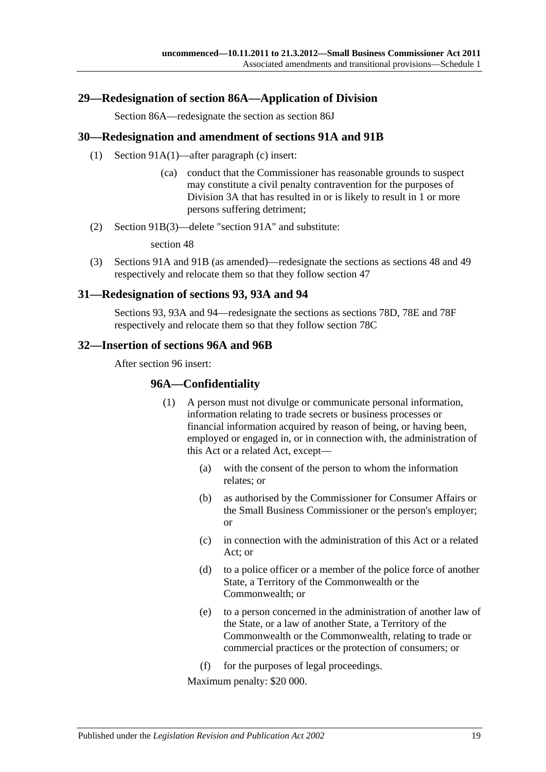#### <span id="page-18-0"></span>**29—Redesignation of section 86A—Application of Division**

Section 86A—redesignate the section as section 86J

#### <span id="page-18-1"></span>**30—Redesignation and amendment of sections 91A and 91B**

- (1) Section 91A(1)—after paragraph (c) insert:
	- (ca) conduct that the Commissioner has reasonable grounds to suspect may constitute a civil penalty contravention for the purposes of Division 3A that has resulted in or is likely to result in 1 or more persons suffering detriment;
- (2) Section 91B(3)—delete "section 91A" and substitute:

section 48

(3) Sections 91A and 91B (as amended)—redesignate the sections as sections 48 and 49 respectively and relocate them so that they follow section 47

#### <span id="page-18-2"></span>**31—Redesignation of sections 93, 93A and 94**

Sections 93, 93A and 94—redesignate the sections as sections 78D, 78E and 78F respectively and relocate them so that they follow section 78C

#### <span id="page-18-3"></span>**32—Insertion of sections 96A and 96B**

After section 96 insert:

#### **96A—Confidentiality**

- (1) A person must not divulge or communicate personal information, information relating to trade secrets or business processes or financial information acquired by reason of being, or having been, employed or engaged in, or in connection with, the administration of this Act or a related Act, except—
	- (a) with the consent of the person to whom the information relates; or
	- (b) as authorised by the Commissioner for Consumer Affairs or the Small Business Commissioner or the person's employer; or
	- (c) in connection with the administration of this Act or a related Act; or
	- (d) to a police officer or a member of the police force of another State, a Territory of the Commonwealth or the Commonwealth; or
	- (e) to a person concerned in the administration of another law of the State, or a law of another State, a Territory of the Commonwealth or the Commonwealth, relating to trade or commercial practices or the protection of consumers; or
	- (f) for the purposes of legal proceedings.

Maximum penalty: \$20 000.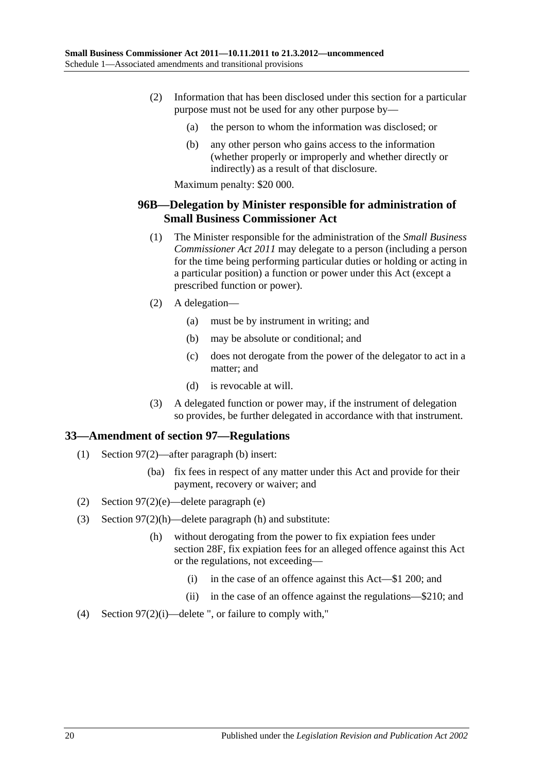- (2) Information that has been disclosed under this section for a particular purpose must not be used for any other purpose by—
	- (a) the person to whom the information was disclosed; or
	- (b) any other person who gains access to the information (whether properly or improperly and whether directly or indirectly) as a result of that disclosure.

Maximum penalty: \$20 000.

### **96B—Delegation by Minister responsible for administration of Small Business Commissioner Act**

- (1) The Minister responsible for the administration of the *[Small Business](http://www.legislation.sa.gov.au/index.aspx?action=legref&type=act&legtitle=Small%20Business%20Commissioner%20Act%202011)  [Commissioner Act](http://www.legislation.sa.gov.au/index.aspx?action=legref&type=act&legtitle=Small%20Business%20Commissioner%20Act%202011) 2011* may delegate to a person (including a person for the time being performing particular duties or holding or acting in a particular position) a function or power under this Act (except a prescribed function or power).
- (2) A delegation—
	- (a) must be by instrument in writing; and
	- (b) may be absolute or conditional; and
	- (c) does not derogate from the power of the delegator to act in a matter; and
	- (d) is revocable at will.
- (3) A delegated function or power may, if the instrument of delegation so provides, be further delegated in accordance with that instrument.

## <span id="page-19-0"></span>**33—Amendment of section 97—Regulations**

- (1) Section 97(2)—after paragraph (b) insert:
	- (ba) fix fees in respect of any matter under this Act and provide for their payment, recovery or waiver; and
- (2) Section 97(2)(e)—delete paragraph (e)
- (3) Section 97(2)(h)—delete paragraph (h) and substitute:
	- (h) without derogating from the power to fix expiation fees under section 28F, fix expiation fees for an alleged offence against this Act or the regulations, not exceeding—
		- (i) in the case of an offence against this Act—\$1 200; and
		- (ii) in the case of an offence against the regulations—\$210; and
- (4) Section 97(2)(i)—delete ", or failure to comply with,"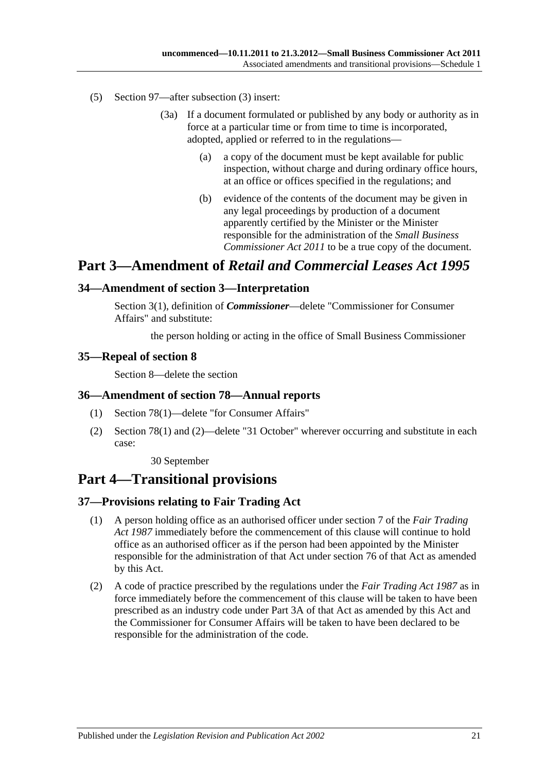- (5) Section 97—after subsection (3) insert:
	- (3a) If a document formulated or published by any body or authority as in force at a particular time or from time to time is incorporated, adopted, applied or referred to in the regulations—
		- (a) a copy of the document must be kept available for public inspection, without charge and during ordinary office hours, at an office or offices specified in the regulations; and
		- (b) evidence of the contents of the document may be given in any legal proceedings by production of a document apparently certified by the Minister or the Minister responsible for the administration of the *[Small Business](http://www.legislation.sa.gov.au/index.aspx?action=legref&type=act&legtitle=Small%20Business%20Commissioner%20Act%202011)  [Commissioner Act](http://www.legislation.sa.gov.au/index.aspx?action=legref&type=act&legtitle=Small%20Business%20Commissioner%20Act%202011) 2011* to be a true copy of the document.

## **Part 3—Amendment of** *Retail and Commercial Leases Act 1995*

#### <span id="page-20-0"></span>**34—Amendment of section 3—Interpretation**

Section 3(1), definition of *Commissioner*—delete "Commissioner for Consumer Affairs" and substitute:

the person holding or acting in the office of Small Business Commissioner

#### <span id="page-20-1"></span>**35—Repeal of section 8**

Section 8—delete the section

#### <span id="page-20-2"></span>**36—Amendment of section 78—Annual reports**

- (1) Section 78(1)—delete "for Consumer Affairs"
- (2) Section 78(1) and (2)—delete "31 October" wherever occurring and substitute in each case:

30 September

## **Part 4—Transitional provisions**

#### <span id="page-20-3"></span>**37—Provisions relating to Fair Trading Act**

- (1) A person holding office as an authorised officer under section 7 of the *[Fair Trading](http://www.legislation.sa.gov.au/index.aspx?action=legref&type=act&legtitle=Fair%20Trading%20Act%201987)  Act [1987](http://www.legislation.sa.gov.au/index.aspx?action=legref&type=act&legtitle=Fair%20Trading%20Act%201987)* immediately before the commencement of this clause will continue to hold office as an authorised officer as if the person had been appointed by the Minister responsible for the administration of that Act under section 76 of that Act as amended by this Act.
- (2) A code of practice prescribed by the regulations under the *[Fair Trading Act](http://www.legislation.sa.gov.au/index.aspx?action=legref&type=act&legtitle=Fair%20Trading%20Act%201987) 1987* as in force immediately before the commencement of this clause will be taken to have been prescribed as an industry code under Part 3A of that Act as amended by this Act and the Commissioner for Consumer Affairs will be taken to have been declared to be responsible for the administration of the code.